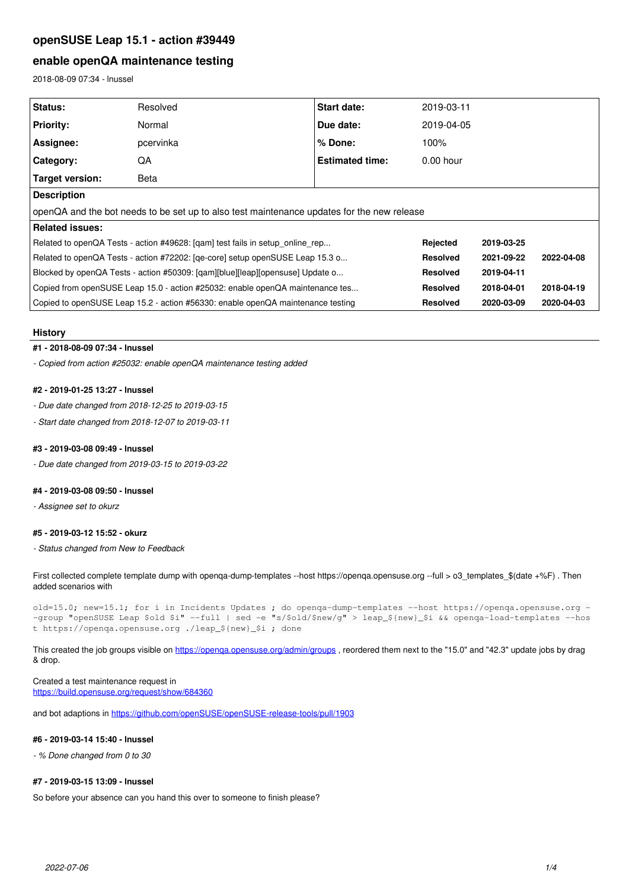# **openSUSE Leap 15.1 - action #39449**

# **enable openQA maintenance testing**

2018-08-09 07:34 - lnussel

| Status:                                                                                    | Resolved  | <b>Start date:</b>     | 2019-03-11      |            |            |
|--------------------------------------------------------------------------------------------|-----------|------------------------|-----------------|------------|------------|
| <b>Priority:</b>                                                                           | Normal    | Due date:              | 2019-04-05      |            |            |
| Assignee:                                                                                  | pcervinka | $%$ Done:              | 100%            |            |            |
| <b>Category:</b>                                                                           | QA        | <b>Estimated time:</b> | $0.00$ hour     |            |            |
| <b>Target version:</b>                                                                     | Beta      |                        |                 |            |            |
| <b>Description</b>                                                                         |           |                        |                 |            |            |
| openQA and the bot needs to be set up to also test maintenance updates for the new release |           |                        |                 |            |            |
| Related issues:                                                                            |           |                        |                 |            |            |
| Related to openQA Tests - action #49628: [qam] test fails in setup_online_rep              |           |                        | Rejected        | 2019-03-25 |            |
| Related to openQA Tests - action #72202: [qe-core] setup openSUSE Leap 15.3 o              |           |                        | <b>Resolved</b> | 2021-09-22 | 2022-04-08 |
| Blocked by openQA Tests - action #50309: [qam][blue][leap][opensuse] Update o              |           |                        | <b>Resolved</b> | 2019-04-11 |            |
| Copied from openSUSE Leap 15.0 - action #25032: enable openQA maintenance tes              |           |                        | <b>Resolved</b> | 2018-04-01 | 2018-04-19 |
| Copied to openSUSE Leap 15.2 - action #56330: enable openQA maintenance testing            |           |                        | <b>Resolved</b> | 2020-03-09 | 2020-04-03 |

#### **History**

## **#1 - 2018-08-09 07:34 - lnussel**

*- Copied from action #25032: enable openQA maintenance testing added*

## **#2 - 2019-01-25 13:27 - lnussel**

*- Due date changed from 2018-12-25 to 2019-03-15*

*- Start date changed from 2018-12-07 to 2019-03-11*

## **#3 - 2019-03-08 09:49 - lnussel**

*- Due date changed from 2019-03-15 to 2019-03-22*

## **#4 - 2019-03-08 09:50 - lnussel**

*- Assignee set to okurz*

#### **#5 - 2019-03-12 15:52 - okurz**

*- Status changed from New to Feedback*

First collected complete template dump with openga-dump-templates --host https://openga.opensuse.org --full > 03\_templates\_\$(date +%F). Then added scenarios with

old=15.0; new=15.1; for i in Incidents Updates ; do openqa-dump-templates --host https://openqa.opensuse.org - -group "openSUSE Leap \$old \$i" --full | sed -e "s/\$old/\$new/g" > leap\_\${new}\_\$i && openqa-load-templates --hos t https://openqa.opensuse.org ./leap\_\${new}\_\$i ; done

This created the job groups visible on <https://openqa.opensuse.org/admin/groups> , reordered them next to the "15.0" and "42.3" update jobs by drag & drop.

## Created a test maintenance request in

<https://build.opensuse.org/request/show/684360>

and bot adaptions in<https://github.com/openSUSE/openSUSE-release-tools/pull/1903>

#### **#6 - 2019-03-14 15:40 - lnussel**

*- % Done changed from 0 to 30*

## **#7 - 2019-03-15 13:09 - lnussel**

So before your absence can you hand this over to someone to finish please?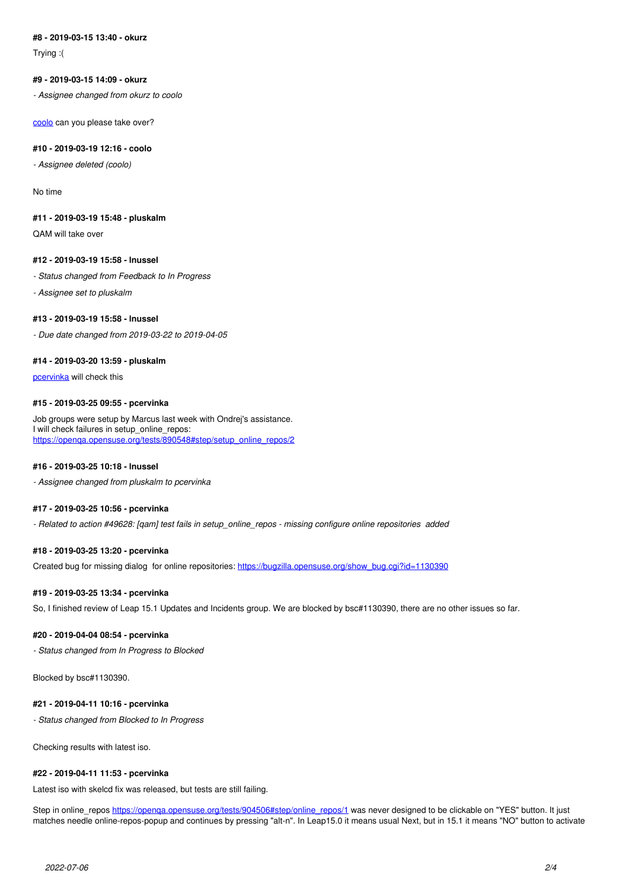## **#8 - 2019-03-15 13:40 - okurz**

Trying :(

## **#9 - 2019-03-15 14:09 - okurz**

*- Assignee changed from okurz to coolo*

[coolo](progress.opensuse.org/users/15) can you please take over?

#### **#10 - 2019-03-19 12:16 - coolo**

*- Assignee deleted (coolo)*

No time

#### **#11 - 2019-03-19 15:48 - pluskalm**

QAM will take over

## **#12 - 2019-03-19 15:58 - lnussel**

- *Status changed from Feedback to In Progress*
- *Assignee set to pluskalm*

## **#13 - 2019-03-19 15:58 - lnussel**

*- Due date changed from 2019-03-22 to 2019-04-05*

#### **#14 - 2019-03-20 13:59 - pluskalm**

[pcervinka](progress.opensuse.org/users/25092) will check this

## **#15 - 2019-03-25 09:55 - pcervinka**

Job groups were setup by Marcus last week with Ondrej's assistance. I will check failures in setup\_online\_repos: [https://openqa.opensuse.org/tests/890548#step/setup\\_online\\_repos/2](https://openqa.opensuse.org/tests/890548#step/setup_online_repos/2)

### **#16 - 2019-03-25 10:18 - lnussel**

*- Assignee changed from pluskalm to pcervinka*

## **#17 - 2019-03-25 10:56 - pcervinka**

*- Related to action #49628: [qam] test fails in setup\_online\_repos - missing configure online repositories added*

#### **#18 - 2019-03-25 13:20 - pcervinka**

Created bug for missing dialog for online repositories: [https://bugzilla.opensuse.org/show\\_bug.cgi?id=1130390](https://bugzilla.opensuse.org/show_bug.cgi?id=1130390)

#### **#19 - 2019-03-25 13:34 - pcervinka**

So, I finished review of Leap 15.1 Updates and Incidents group. We are blocked by bsc#1130390, there are no other issues so far.

#### **#20 - 2019-04-04 08:54 - pcervinka**

*- Status changed from In Progress to Blocked*

Blocked by bsc#1130390.

## **#21 - 2019-04-11 10:16 - pcervinka**

*- Status changed from Blocked to In Progress*

Checking results with latest iso.

#### **#22 - 2019-04-11 11:53 - pcervinka**

Latest iso with skelcd fix was released, but tests are still failing.

Step in online\_repos [https://openqa.opensuse.org/tests/904506#step/online\\_repos/1](https://openqa.opensuse.org/tests/904506#step/online_repos/1) was never designed to be clickable on "YES" button. It just matches needle online-repos-popup and continues by pressing "alt-n". In Leap15.0 it means usual Next, but in 15.1 it means "NO" button to activate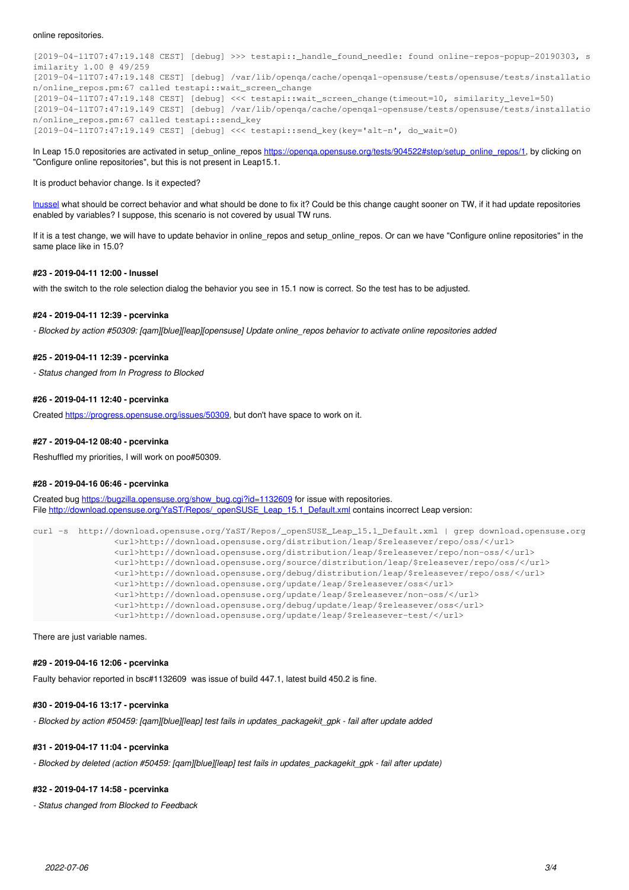[2019-04-11T07:47:19.148 CEST] [debug] >>> testapi::\_handle\_found\_needle: found online-repos-popup-20190303, s imilarity 1.00 @ 49/259 [2019-04-11T07:47:19.148 CEST] [debug] /var/lib/openqa/cache/openqa1-opensuse/tests/opensuse/tests/installatio n/online\_repos.pm:67 called testapi::wait\_screen\_change [2019-04-11T07:47:19.148 CEST] [debug] <<< testapi::wait\_screen\_change(timeout=10, similarity\_level=50) [2019-04-11T07:47:19.149 CEST] [debug] /var/lib/openqa/cache/openqa1-opensuse/tests/opensuse/tests/installatio n/online\_repos.pm:67 called testapi::send\_key [2019-04-11T07:47:19.149 CEST] [debug] <<< testapi::send\_key(key='alt-n', do\_wait=0)

In Leap 15.0 repositories are activated in setup\_online\_repos https://openga.opensuse.org/tests/904522#step/setup\_online\_repos/1, by clicking on "Configure online repositories", but this is not present in Leap15.1.

#### It is product behavior change. Is it expected?

[lnussel](progress.opensuse.org/users/17) what should be correct behavior and what should be done to fix it? Could be this change caught sooner on TW, if it had update repositories enabled by variables? I suppose, this scenario is not covered by usual TW runs.

If it is a test change, we will have to update behavior in online\_repos and setup\_online\_repos. Or can we have "Configure online repositories" in the same place like in 15.0?

#### **#23 - 2019-04-11 12:00 - lnussel**

with the switch to the role selection dialog the behavior you see in 15.1 now is correct. So the test has to be adjusted.

#### **#24 - 2019-04-11 12:39 - pcervinka**

*- Blocked by action #50309: [qam][blue][leap][opensuse] Update online\_repos behavior to activate online repositories added*

#### **#25 - 2019-04-11 12:39 - pcervinka**

*- Status changed from In Progress to Blocked*

#### **#26 - 2019-04-11 12:40 - pcervinka**

Created <https://progress.opensuse.org/issues/50309>, but don't have space to work on it.

#### **#27 - 2019-04-12 08:40 - pcervinka**

Reshuffled my priorities, I will work on poo#50309.

#### **#28 - 2019-04-16 06:46 - pcervinka**

Created bug [https://bugzilla.opensuse.org/show\\_bug.cgi?id=1132609](https://bugzilla.opensuse.org/show_bug.cgi?id=1132609) for issue with repositories. File [http://download.opensuse.org/YaST/Repos/\\_openSUSE\\_Leap\\_15.1\\_Default.xml](http://download.opensuse.org/YaST/Repos/_openSUSE_Leap_15.1_Default.xml) contains incorrect Leap version:

```
curl -s  http://download.opensuse.org/YaST/Repos/_openSUSE_Leap_15.1_Default.xml | grep download.opensuse.org
                      <url>http://download.opensuse.org/distribution/leap/$releasever/repo/oss/</url>
                      <url>http://download.opensuse.org/distribution/leap/$releasever/repo/non-oss/</url>
                      <url>http://download.opensuse.org/source/distribution/leap/$releasever/repo/oss/</url>
                      <url>http://download.opensuse.org/debug/distribution/leap/$releasever/repo/oss/</url>
                      <url>http://download.opensuse.org/update/leap/$releasever/oss</url>
                      <url>http://download.opensuse.org/update/leap/$releasever/non-oss/</url>
                      <url>http://download.opensuse.org/debug/update/leap/$releasever/oss</url>
                      <url>http://download.opensuse.org/update/leap/$releasever-test/</url>
```
There are just variable names.

## **#29 - 2019-04-16 12:06 - pcervinka**

Faulty behavior reported in bsc#1132609 was issue of build 447.1, latest build 450.2 is fine.

#### **#30 - 2019-04-16 13:17 - pcervinka**

*- Blocked by action #50459: [qam][blue][leap] test fails in updates\_packagekit\_gpk - fail after update added*

## **#31 - 2019-04-17 11:04 - pcervinka**

*- Blocked by deleted (action #50459: [qam][blue][leap] test fails in updates\_packagekit\_gpk - fail after update)*

#### **#32 - 2019-04-17 14:58 - pcervinka**

*- Status changed from Blocked to Feedback*